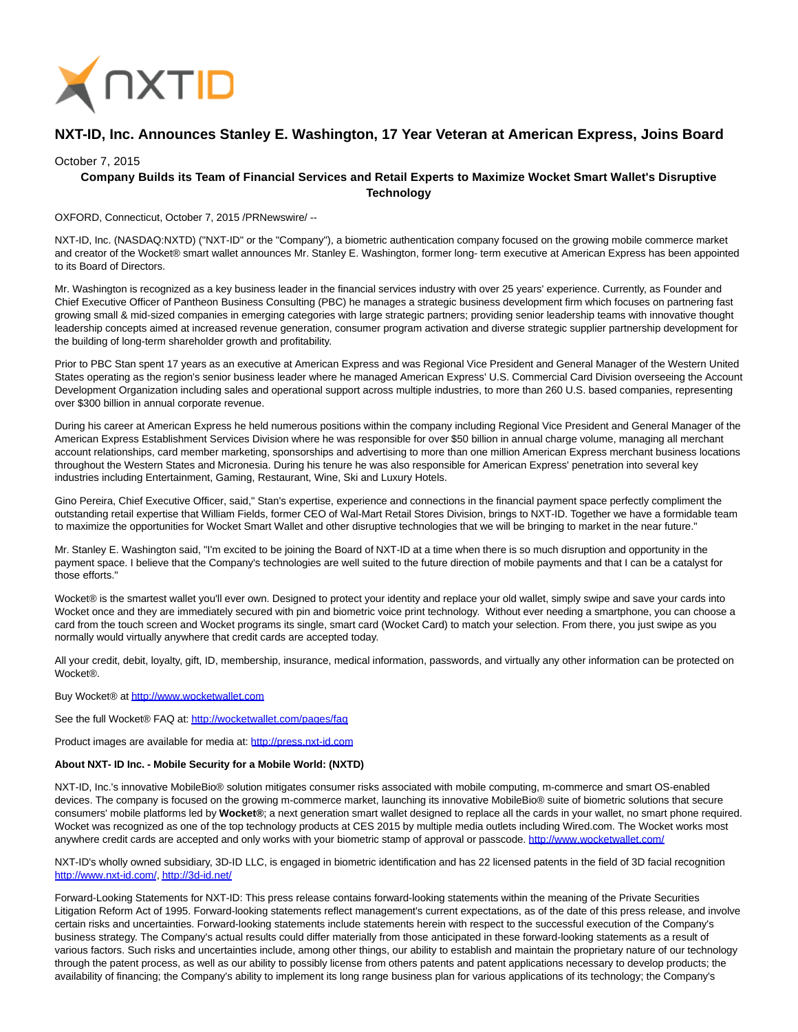

## **NXT-ID, Inc. Announces Stanley E. Washington, 17 Year Veteran at American Express, Joins Board**

## October 7, 2015

## **Company Builds its Team of Financial Services and Retail Experts to Maximize Wocket Smart Wallet's Disruptive Technology**

OXFORD, Connecticut, October 7, 2015 /PRNewswire/ --

NXT-ID, Inc. (NASDAQ:NXTD) ("NXT-ID" or the "Company"), a biometric authentication company focused on the growing mobile commerce market and creator of the Wocket® smart wallet announces Mr. Stanley E. Washington, former long- term executive at American Express has been appointed to its Board of Directors.

Mr. Washington is recognized as a key business leader in the financial services industry with over 25 years' experience. Currently, as Founder and Chief Executive Officer of Pantheon Business Consulting (PBC) he manages a strategic business development firm which focuses on partnering fast growing small & mid-sized companies in emerging categories with large strategic partners; providing senior leadership teams with innovative thought leadership concepts aimed at increased revenue generation, consumer program activation and diverse strategic supplier partnership development for the building of long-term shareholder growth and profitability.

Prior to PBC Stan spent 17 years as an executive at American Express and was Regional Vice President and General Manager of the Western United States operating as the region's senior business leader where he managed American Express' U.S. Commercial Card Division overseeing the Account Development Organization including sales and operational support across multiple industries, to more than 260 U.S. based companies, representing over \$300 billion in annual corporate revenue.

During his career at American Express he held numerous positions within the company including Regional Vice President and General Manager of the American Express Establishment Services Division where he was responsible for over \$50 billion in annual charge volume, managing all merchant account relationships, card member marketing, sponsorships and advertising to more than one million American Express merchant business locations throughout the Western States and Micronesia. During his tenure he was also responsible for American Express' penetration into several key industries including Entertainment, Gaming, Restaurant, Wine, Ski and Luxury Hotels.

Gino Pereira, Chief Executive Officer, said," Stan's expertise, experience and connections in the financial payment space perfectly compliment the outstanding retail expertise that William Fields, former CEO of Wal-Mart Retail Stores Division, brings to NXT-ID. Together we have a formidable team to maximize the opportunities for Wocket Smart Wallet and other disruptive technologies that we will be bringing to market in the near future."

Mr. Stanley E. Washington said, "I'm excited to be joining the Board of NXT-ID at a time when there is so much disruption and opportunity in the payment space. I believe that the Company's technologies are well suited to the future direction of mobile payments and that I can be a catalyst for those efforts."

Wocket® is the smartest wallet you'll ever own. Designed to protect your identity and replace your old wallet, simply swipe and save your cards into Wocket once and they are immediately secured with pin and biometric voice print technology. Without ever needing a smartphone, you can choose a card from the touch screen and Wocket programs its single, smart card (Wocket Card) to match your selection. From there, you just swipe as you normally would virtually anywhere that credit cards are accepted today.

All your credit, debit, loyalty, gift, ID, membership, insurance, medical information, passwords, and virtually any other information can be protected on Wocket®.

Buy Wocket® at [http://www.wocketwallet.com](http://www.wocketwallet.com/)

See the full Wocket® FAQ at:<http://wocketwallet.com/pages/faq>

Product images are available for media at: [http://press.nxt-id.com](http://press.nxt-id.com/)

## **About NXT- ID Inc. - Mobile Security for a Mobile World: (NXTD)**

NXT-ID, Inc.'s innovative MobileBio® solution mitigates consumer risks associated with mobile computing, m-commerce and smart OS-enabled devices. The company is focused on the growing m-commerce market, launching its innovative MobileBio® suite of biometric solutions that secure consumers' mobile platforms led by **Wocket®**; a next generation smart wallet designed to replace all the cards in your wallet, no smart phone required. Wocket was recognized as one of the top technology products at CES 2015 by multiple media outlets including Wired.com. The Wocket works most anywhere credit cards are accepted and only works with your biometric stamp of approval or passcode.<http://www.wocketwallet.com/>

NXT-ID's wholly owned subsidiary, 3D-ID LLC, is engaged in biometric identification and has 22 licensed patents in the field of 3D facial recognition [http://www.nxt-id.com/,](http://www.nxt-id.com/)<http://3d-id.net/>

Forward-Looking Statements for NXT-ID: This press release contains forward-looking statements within the meaning of the Private Securities Litigation Reform Act of 1995. Forward-looking statements reflect management's current expectations, as of the date of this press release, and involve certain risks and uncertainties. Forward-looking statements include statements herein with respect to the successful execution of the Company's business strategy. The Company's actual results could differ materially from those anticipated in these forward-looking statements as a result of various factors. Such risks and uncertainties include, among other things, our ability to establish and maintain the proprietary nature of our technology through the patent process, as well as our ability to possibly license from others patents and patent applications necessary to develop products; the availability of financing; the Company's ability to implement its long range business plan for various applications of its technology; the Company's